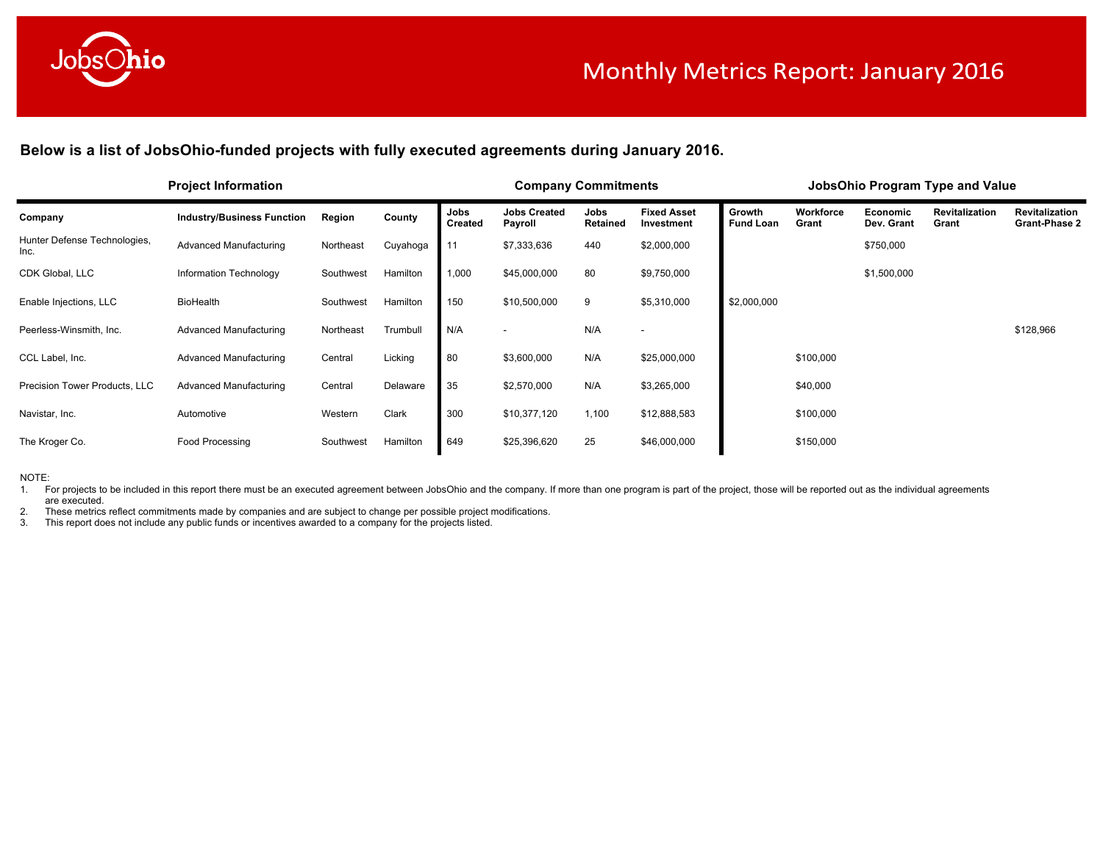

Below is a list of JobsOhio-funded projects with fully executed agreements during January 2016.

|                                      | <b>Project Information</b>        |           |          |                        | <b>Company Commitments</b>     |                  |                                  |                            |                    |                        | JobsOhio Program Type and Value |                                               |
|--------------------------------------|-----------------------------------|-----------|----------|------------------------|--------------------------------|------------------|----------------------------------|----------------------------|--------------------|------------------------|---------------------------------|-----------------------------------------------|
| Company                              | <b>Industry/Business Function</b> | Region    | County   | Jobs<br><b>Created</b> | <b>Jobs Created</b><br>Payroll | Jobs<br>Retained | <b>Fixed Asset</b><br>Investment | Growth<br><b>Fund Loan</b> | Workforce<br>Grant | Economic<br>Dev. Grant | <b>Revitalization</b><br>Grant  | <b>Revitalization</b><br><b>Grant-Phase 2</b> |
| Hunter Defense Technologies,<br>Inc. | <b>Advanced Manufacturing</b>     | Northeast | Cuyahoga | 11                     | \$7,333,636                    | 440              | \$2,000,000                      |                            |                    | \$750,000              |                                 |                                               |
| CDK Global, LLC                      | Information Technology            | Southwest | Hamilton | 1,000                  | \$45,000,000                   | 80               | \$9,750,000                      |                            |                    | \$1,500,000            |                                 |                                               |
| Enable Injections, LLC               | BioHealth                         | Southwest | Hamilton | 150                    | \$10,500,000                   | 9                | \$5,310,000                      | \$2,000,000                |                    |                        |                                 |                                               |
| Peerless-Winsmith, Inc.              | <b>Advanced Manufacturing</b>     | Northeast | Trumbull | N/A                    |                                | N/A              |                                  |                            |                    |                        |                                 | \$128,966                                     |
| CCL Label, Inc.                      | <b>Advanced Manufacturing</b>     | Central   | Licking  | 80                     | \$3,600,000                    | N/A              | \$25,000,000                     |                            | \$100,000          |                        |                                 |                                               |
| Precision Tower Products, LLC        | <b>Advanced Manufacturing</b>     | Central   | Delaware | 35                     | \$2,570,000                    | N/A              | \$3,265,000                      |                            | \$40,000           |                        |                                 |                                               |
| Navistar, Inc.                       | Automotive                        | Western   | Clark    | 300                    | \$10,377,120                   | 1,100            | \$12,888,583                     |                            | \$100,000          |                        |                                 |                                               |
| The Kroger Co.                       | Food Processing                   | Southwest | Hamilton | 649                    | \$25,396,620                   | 25               | \$46,000,000                     |                            | \$150,000          |                        |                                 |                                               |

NOTE:

1. For projects to be included in this report there must be an executed agreement between JobsOhio and the company. If more than one program is part of the project, those will be reported out as the individual agreements are executed.

2. These metrics reflect commitments made by companies and are subject to change per possible project modifications.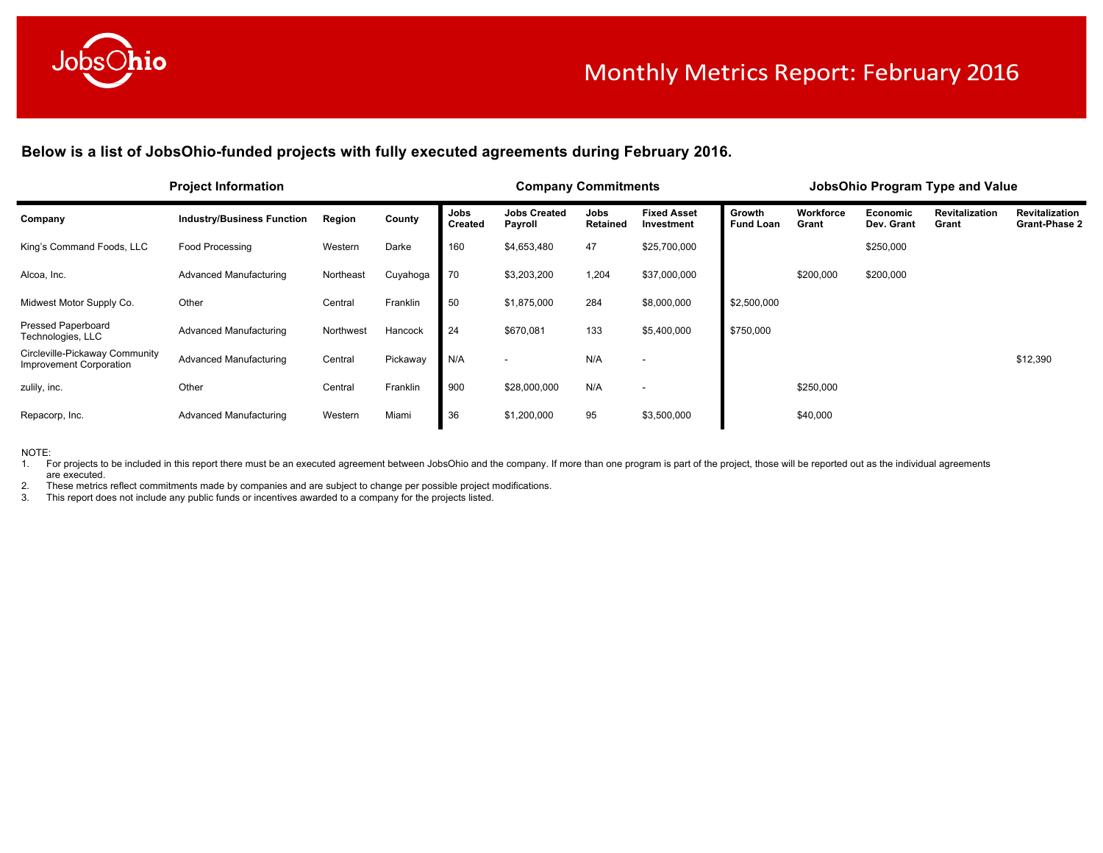

Below is a list of JobsOhio-funded projects with fully executed agreements during February 2016.

|                                                           | <b>Project Information</b>        |           |          |                        | <b>Company Commitments</b>     |                         |                                  |                            |                    |                        | <b>JobsOhio Program Type and Value</b> |                                               |
|-----------------------------------------------------------|-----------------------------------|-----------|----------|------------------------|--------------------------------|-------------------------|----------------------------------|----------------------------|--------------------|------------------------|----------------------------------------|-----------------------------------------------|
| Company                                                   | <b>Industry/Business Function</b> | Region    | County   | Jobs<br><b>Created</b> | <b>Jobs Created</b><br>Payroll | Jobs<br><b>Retained</b> | <b>Fixed Asset</b><br>Investment | Growth<br><b>Fund Loan</b> | Workforce<br>Grant | Economic<br>Dev. Grant | <b>Revitalization</b><br>Grant         | <b>Revitalization</b><br><b>Grant-Phase 2</b> |
| King's Command Foods, LLC                                 | <b>Food Processing</b>            | Western   | Darke    | 160                    | \$4,653,480                    | 47                      | \$25,700,000                     |                            |                    | \$250,000              |                                        |                                               |
| Alcoa, Inc.                                               | Advanced Manufacturing            | Northeast | Cuyahoga | 70                     | \$3,203,200                    | 1,204                   | \$37,000,000                     |                            | \$200,000          | \$200,000              |                                        |                                               |
| Midwest Motor Supply Co.                                  | Other                             | Central   | Franklin | 50                     | \$1,875,000                    | 284                     | \$8,000,000                      | \$2,500,000                |                    |                        |                                        |                                               |
| <b>Pressed Paperboard</b><br>Technologies, LLC            | Advanced Manufacturing            | Northwest | Hancock  | 24                     | \$670,081                      | 133                     | \$5,400,000                      | \$750,000                  |                    |                        |                                        |                                               |
| Circleville-Pickaway Community<br>Improvement Corporation | Advanced Manufacturing            | Central   | Pickaway | N/A                    |                                | N/A                     | $\overline{\phantom{a}}$         |                            |                    |                        |                                        | \$12,390                                      |
| zulily, inc.                                              | Other                             | Central   | Franklin | 900                    | \$28,000,000                   | N/A                     | $\overline{\phantom{a}}$         |                            | \$250,000          |                        |                                        |                                               |
| Repacorp, Inc.                                            | Advanced Manufacturing            | Western   | Miami    | 36                     | \$1,200,000                    | 95                      | \$3,500,000                      |                            | \$40,000           |                        |                                        |                                               |

NOTE:

1. For projects to be included in this report there must be an executed agreement between JobsOhio and the company. If more than one program is part of the project, those will be reported out as the individual agreements are executed.

2. These metrics reflect commitments made by companies and are subject to change per possible project modifications.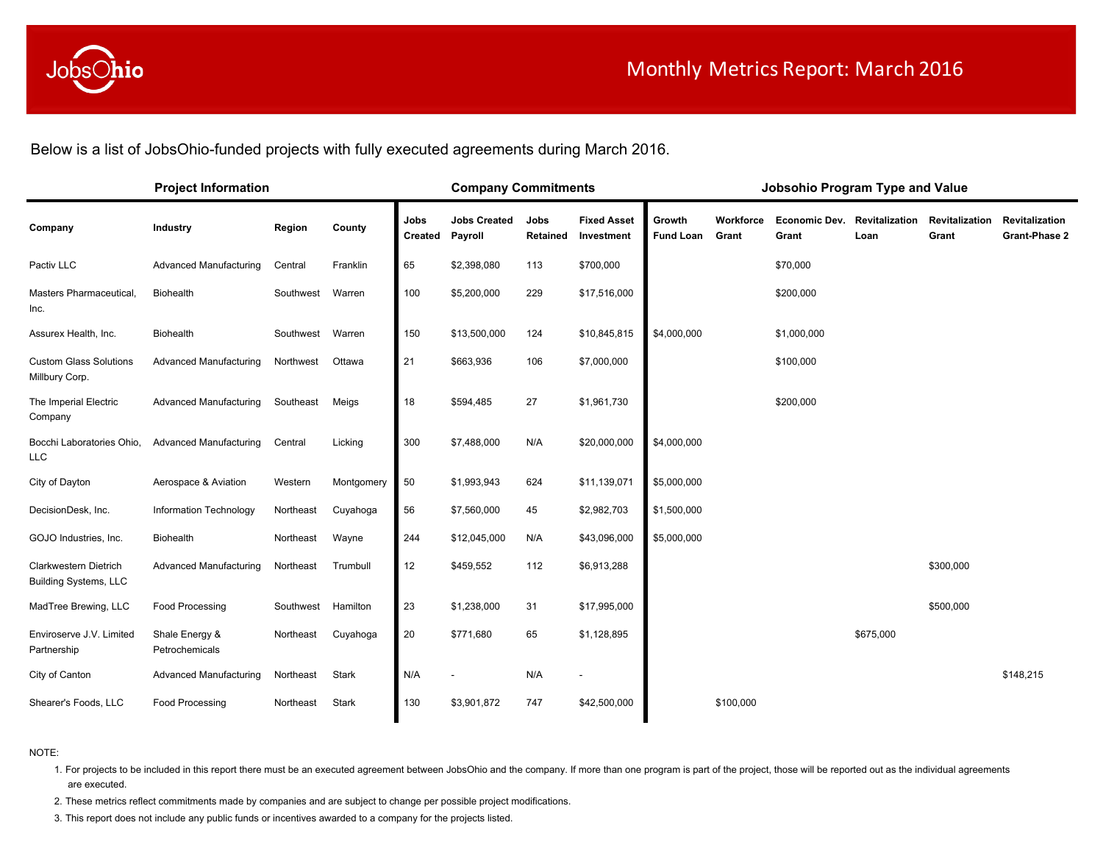

Below is a list of JobsOhio-funded projects with fully executed agreements during March 2016.

|                                                       | <b>Project Information</b>       |                    |            |                        | <b>Company Commitments</b>     |                  |                                  |                            |                    | Jobsohio Program Type and Value              |           |                                |                                        |
|-------------------------------------------------------|----------------------------------|--------------------|------------|------------------------|--------------------------------|------------------|----------------------------------|----------------------------|--------------------|----------------------------------------------|-----------|--------------------------------|----------------------------------------|
| Company                                               | Industry                         | Region             | County     | Jobs<br><b>Created</b> | <b>Jobs Created</b><br>Payroll | Jobs<br>Retained | <b>Fixed Asset</b><br>Investment | Growth<br><b>Fund Loan</b> | Workforce<br>Grant | <b>Economic Dev. Revitalization</b><br>Grant | Loan      | <b>Revitalization</b><br>Grant | Revitalization<br><b>Grant-Phase 2</b> |
| Pactiv LLC                                            | <b>Advanced Manufacturing</b>    | Central            | Franklin   | 65                     | \$2,398,080                    | 113              | \$700,000                        |                            |                    | \$70,000                                     |           |                                |                                        |
| Masters Pharmaceutical,<br>Inc.                       | Biohealth                        | Southwest          | Warren     | 100                    | \$5,200,000                    | 229              | \$17,516,000                     |                            |                    | \$200,000                                    |           |                                |                                        |
| Assurex Health, Inc.                                  | Biohealth                        | Southwest          | Warren     | 150                    | \$13,500,000                   | 124              | \$10,845,815                     | \$4,000,000                |                    | \$1,000,000                                  |           |                                |                                        |
| <b>Custom Glass Solutions</b><br>Millbury Corp.       | <b>Advanced Manufacturing</b>    | Northwest          | Ottawa     | 21                     | \$663,936                      | 106              | \$7,000,000                      |                            |                    | \$100,000                                    |           |                                |                                        |
| The Imperial Electric<br>Company                      | Advanced Manufacturing           | Southeast          | Meigs      | 18                     | \$594,485                      | 27               | \$1,961,730                      |                            |                    | \$200,000                                    |           |                                |                                        |
| Bocchi Laboratories Ohio,<br><b>LLC</b>               | <b>Advanced Manufacturing</b>    | Central            | Licking    | 300                    | \$7,488,000                    | N/A              | \$20,000,000                     | \$4,000,000                |                    |                                              |           |                                |                                        |
| City of Dayton                                        | Aerospace & Aviation             | Western            | Montgomery | 50                     | \$1,993,943                    | 624              | \$11,139,071                     | \$5,000,000                |                    |                                              |           |                                |                                        |
| DecisionDesk, Inc.                                    | Information Technology           | Northeast          | Cuyahoga   | 56                     | \$7,560,000                    | 45               | \$2,982,703                      | \$1,500,000                |                    |                                              |           |                                |                                        |
| GOJO Industries, Inc.                                 | Biohealth                        | Northeast          | Wayne      | 244                    | \$12,045,000                   | N/A              | \$43,096,000                     | \$5,000,000                |                    |                                              |           |                                |                                        |
| Clarkwestern Dietrich<br><b>Building Systems, LLC</b> | <b>Advanced Manufacturing</b>    | Northeast          | Trumbull   | 12                     | \$459,552                      | 112              | \$6,913,288                      |                            |                    |                                              |           | \$300,000                      |                                        |
| MadTree Brewing, LLC                                  | Food Processing                  | Southwest Hamilton |            | 23                     | \$1,238,000                    | 31               | \$17,995,000                     |                            |                    |                                              |           | \$500,000                      |                                        |
| Enviroserve J.V. Limited<br>Partnership               | Shale Energy &<br>Petrochemicals | Northeast          | Cuyahoga   | 20                     | \$771,680                      | 65               | \$1,128,895                      |                            |                    |                                              | \$675,000 |                                |                                        |
| City of Canton                                        | <b>Advanced Manufacturing</b>    | Northeast          | Stark      | N/A                    |                                | N/A              |                                  |                            |                    |                                              |           |                                | \$148,215                              |
| Shearer's Foods, LLC                                  | Food Processing                  | Northeast          | Stark      | 130                    | \$3,901,872                    | 747              | \$42,500,000                     |                            | \$100,000          |                                              |           |                                |                                        |

NOTE:

1. For projects to be included in this report there must be an executed agreement between JobsOhio and the company. If more than one program is part of the project, those will be reported out as the individual agreements are executed.

2. These metrics reflect commitments made by companies and are subject to change per possible project modifications.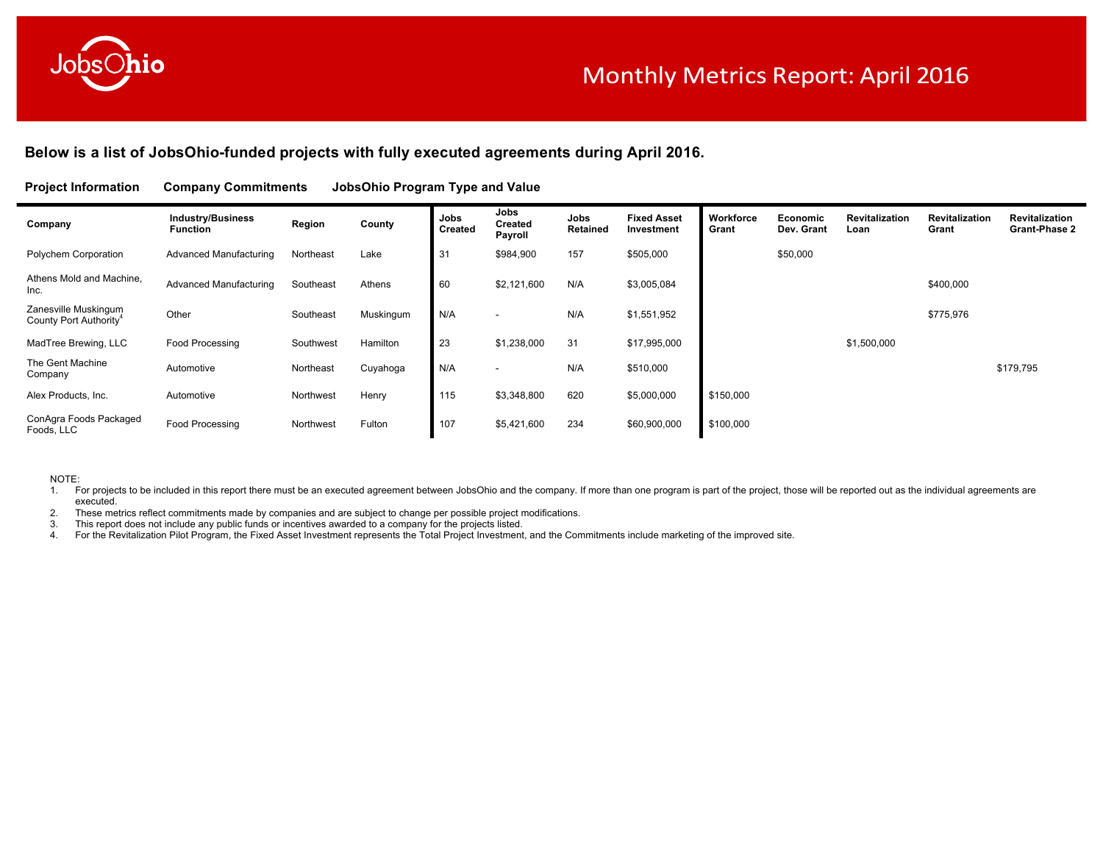

# **Below is a list of JobsOhio-funded projects with fully executed agreements during April 2016.**

#### **Project Information Company Commitments JobsOhio Program Type and Value**

| Company                                                    | <b>Industry/Business</b><br>Function | Region    | County    | Jobs<br><b>Created</b> | Jobs<br><b>Created</b><br>Payroll | Jobs<br>Retained | <b>Fixed Asset</b><br>Investment | Workforce<br>Grant | Economic<br>Dev. Grant | Revitalization<br>Loan | Revitalization<br>Grant | <b>Revitalization</b><br><b>Grant-Phase 2</b> |
|------------------------------------------------------------|--------------------------------------|-----------|-----------|------------------------|-----------------------------------|------------------|----------------------------------|--------------------|------------------------|------------------------|-------------------------|-----------------------------------------------|
| Polychem Corporation                                       | Advanced Manufacturing               | Northeast | Lake      | 31                     | \$984,900                         | 157              | \$505,000                        |                    | \$50,000               |                        |                         |                                               |
| Athens Mold and Machine,<br>Inc.                           | Advanced Manufacturing               | Southeast | Athens    | 60                     | \$2,121,600                       | N/A              | \$3,005,084                      |                    |                        |                        | \$400,000               |                                               |
| Zanesville Muskingum<br>County Port Authority <sup>4</sup> | Other                                | Southeast | Muskingum | N/A                    |                                   | N/A              | \$1,551,952                      |                    |                        |                        | \$775,976               |                                               |
| MadTree Brewing, LLC                                       | Food Processing                      | Southwest | Hamilton  | 23                     | \$1,238,000                       | 31               | \$17,995,000                     |                    |                        | \$1,500,000            |                         |                                               |
| The Gent Machine<br>Company                                | Automotive                           | Northeast | Cuyahoga  | N/A                    | $\overline{\phantom{a}}$          | N/A              | \$510,000                        |                    |                        |                        |                         | \$179,795                                     |
| Alex Products, Inc.                                        | Automotive                           | Northwest | Henry     | 115                    | \$3,348,800                       | 620              | \$5,000,000                      | \$150,000          |                        |                        |                         |                                               |
| ConAgra Foods Packaged<br>Foods, LLC                       | Food Processing                      | Northwest | Fulton    | 107                    | \$5,421,600                       | 234              | \$60,900,000                     | \$100,000          |                        |                        |                         |                                               |

NOTE:

1. For projects to be included in this report there must be an executed agreement between JobsOhio and the company. If more than one program is part of the project, those will be reported out as the individual agreements a executed.

2. These metrics reflect commitments made by companies and are subject to change per possible project modifications.<br>3. This report does not include any public funds or incentives awarded to a company for the projects list

3. This report does not include any public funds or incentives awarded to a company for the projects listed.<br>4. For the Revitalization Pilot Program, the Fixed Asset Investment represents the Total Project Investment

For the Revitalization Pilot Program, the Fixed Asset Investment represents the Total Project Investment, and the Commitments include marketing of the improved site.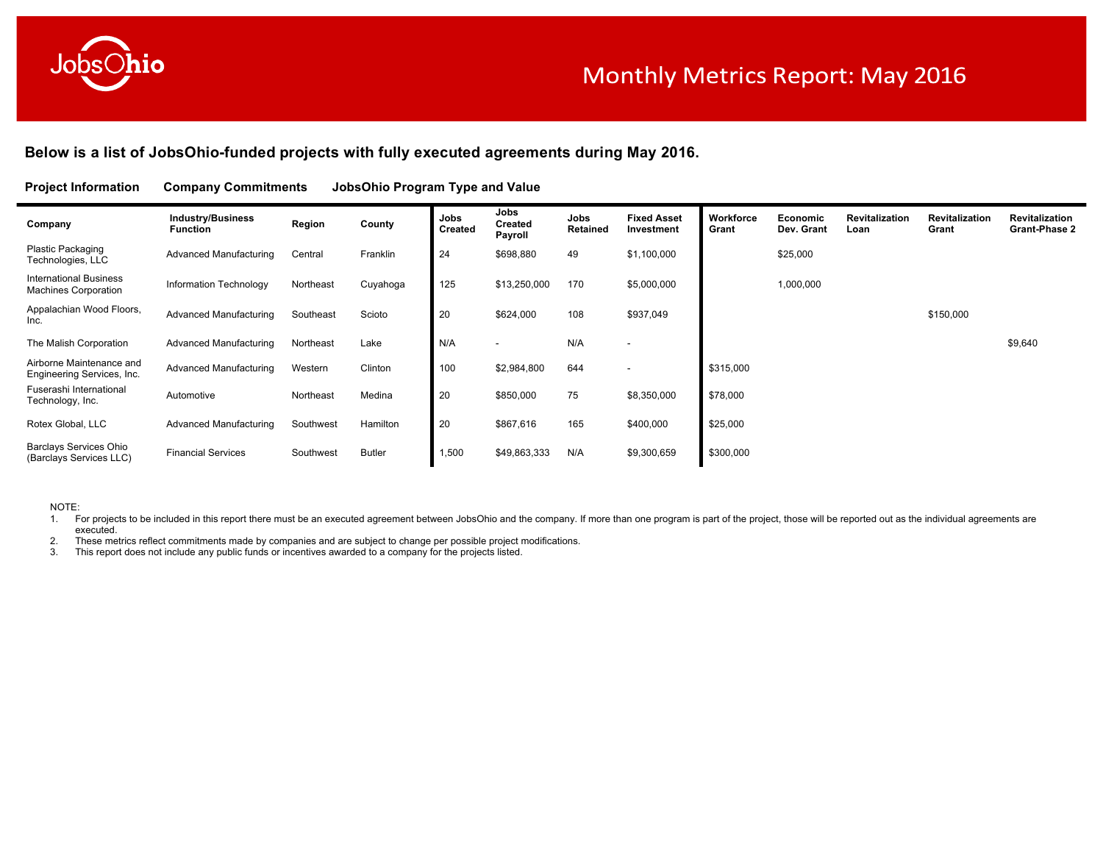

# **Below is a list of JobsOhio-funded projects with fully executed agreements during May 2016.**

### **Project Information Company Commitments JobsOhio Program Type and Value**

| Company                                                      | <b>Industry/Business</b><br><b>Function</b> | Region    | County        | Jobs<br><b>Created</b> | Jobs<br><b>Created</b><br>Payroll | Jobs<br>Retained | <b>Fixed Asset</b><br>Investment | Workforce<br>Grant | Economic<br>Dev. Grant | Revitalization<br>Loan | <b>Revitalization</b><br>Grant | <b>Revitalization</b><br><b>Grant-Phase 2</b> |
|--------------------------------------------------------------|---------------------------------------------|-----------|---------------|------------------------|-----------------------------------|------------------|----------------------------------|--------------------|------------------------|------------------------|--------------------------------|-----------------------------------------------|
| Plastic Packaging<br>Technologies, LLC                       | Advanced Manufacturing                      | Central   | Franklin      | 24                     | \$698,880                         | 49               | \$1,100,000                      |                    | \$25,000               |                        |                                |                                               |
| <b>International Business</b><br><b>Machines Corporation</b> | Information Technology                      | Northeast | Cuyahoga      | 125                    | \$13,250,000                      | 170              | \$5,000,000                      |                    | 1,000,000              |                        |                                |                                               |
| Appalachian Wood Floors,<br>Inc.                             | Advanced Manufacturing                      | Southeast | Scioto        | 20                     | \$624,000                         | 108              | \$937,049                        |                    |                        |                        | \$150,000                      |                                               |
| The Malish Corporation                                       | Advanced Manufacturing                      | Northeast | Lake          | N/A                    |                                   | N/A              |                                  |                    |                        |                        |                                | \$9,640                                       |
| Airborne Maintenance and<br>Engineering Services, Inc.       | Advanced Manufacturing                      | Western   | Clinton       | 100                    | \$2,984,800                       | 644              |                                  | \$315,000          |                        |                        |                                |                                               |
| Fuserashi International<br>Technology, Inc.                  | Automotive                                  | Northeast | Medina        | 20                     | \$850,000                         | 75               | \$8,350,000                      | \$78,000           |                        |                        |                                |                                               |
| Rotex Global, LLC                                            | <b>Advanced Manufacturing</b>               | Southwest | Hamilton      | 20                     | \$867,616                         | 165              | \$400,000                        | \$25,000           |                        |                        |                                |                                               |
| Barclays Services Ohio<br>(Barclays Services LLC)            | <b>Financial Services</b>                   | Southwest | <b>Butler</b> | 1,500                  | \$49,863,333                      | N/A              | \$9,300,659                      | \$300,000          |                        |                        |                                |                                               |

#### NOTE:

1. For projects to be included in this report there must be an executed agreement between JobsOhio and the company. If more than one program is part of the project, those will be reported out as the individual agreements a executed.

2. These metrics reflect commitments made by companies and are subject to change per possible project modifications.<br>3. This report does not include any public funds or incentives awarded to a company for the projects list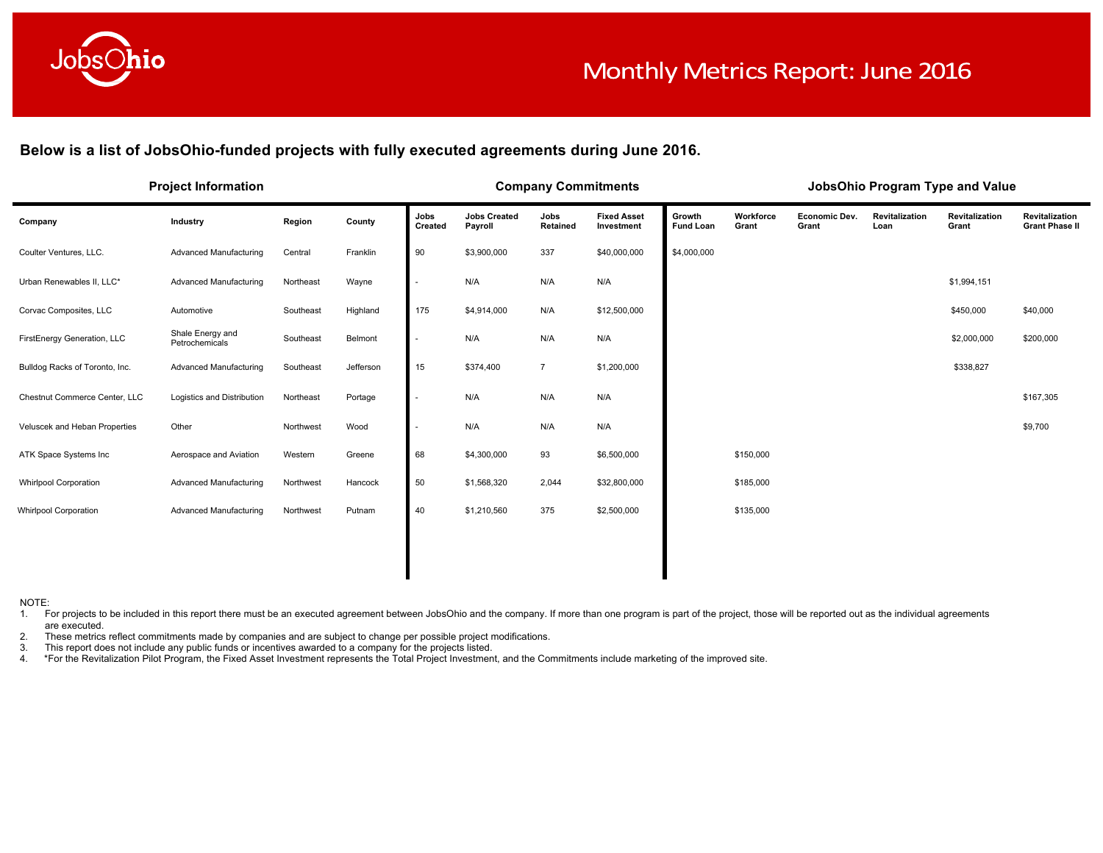

**Below is a list of JobsOhio-funded projects with fully executed agreements during June 2016.**

|                                | <b>Project Information</b>         |           |           |                 | <b>Company Commitments</b>     |                  |                                  |                            |                    |                        | JobsOhio Program Type and Value |                         |                                         |
|--------------------------------|------------------------------------|-----------|-----------|-----------------|--------------------------------|------------------|----------------------------------|----------------------------|--------------------|------------------------|---------------------------------|-------------------------|-----------------------------------------|
| Company                        | Industry                           | Region    | County    | Jobs<br>Created | <b>Jobs Created</b><br>Payroll | Jobs<br>Retained | <b>Fixed Asset</b><br>Investment | Growth<br><b>Fund Loan</b> | Workforce<br>Grant | Economic Dev.<br>Grant | Revitalization<br>Loan          | Revitalization<br>Grant | Revitalization<br><b>Grant Phase II</b> |
| Coulter Ventures, LLC.         | <b>Advanced Manufacturing</b>      | Central   | Franklin  | 90              | \$3,900,000                    | 337              | \$40,000,000                     | \$4,000,000                |                    |                        |                                 |                         |                                         |
| Urban Renewables II, LLC*      | Advanced Manufacturing             | Northeast | Wayne     |                 | N/A                            | N/A              | N/A                              |                            |                    |                        |                                 | \$1,994,151             |                                         |
| Corvac Composites, LLC         | Automotive                         | Southeast | Highland  | 175             | \$4,914,000                    | N/A              | \$12,500,000                     |                            |                    |                        |                                 | \$450,000               | \$40,000                                |
| FirstEnergy Generation, LLC    | Shale Energy and<br>Petrochemicals | Southeast | Belmont   |                 | N/A                            | N/A              | N/A                              |                            |                    |                        |                                 | \$2,000,000             | \$200,000                               |
| Bulldog Racks of Toronto, Inc. | Advanced Manufacturing             | Southeast | Jefferson | 15              | \$374,400                      | $\overline{7}$   | \$1,200,000                      |                            |                    |                        |                                 | \$338,827               |                                         |
| Chestnut Commerce Center, LLC  | Logistics and Distribution         | Northeast | Portage   |                 | N/A                            | N/A              | N/A                              |                            |                    |                        |                                 |                         | \$167,305                               |
| Veluscek and Heban Properties  | Other                              | Northwest | Wood      |                 | N/A                            | N/A              | N/A                              |                            |                    |                        |                                 |                         | \$9,700                                 |
| ATK Space Systems Inc          | Aerospace and Aviation             | Western   | Greene    | 68              | \$4,300,000                    | 93               | \$6,500,000                      |                            | \$150,000          |                        |                                 |                         |                                         |
| <b>Whirlpool Corporation</b>   | <b>Advanced Manufacturing</b>      | Northwest | Hancock   | 50              | \$1,568,320                    | 2,044            | \$32,800,000                     |                            | \$185,000          |                        |                                 |                         |                                         |
| <b>Whirlpool Corporation</b>   | Advanced Manufacturing             | Northwest | Putnam    | 40              | \$1,210,560                    | 375              | \$2,500,000                      |                            | \$135,000          |                        |                                 |                         |                                         |
|                                |                                    |           |           |                 |                                |                  |                                  |                            |                    |                        |                                 |                         |                                         |
|                                |                                    |           |           |                 |                                |                  |                                  |                            |                    |                        |                                 |                         |                                         |

NOTE:

1. For projects to be included in this report there must be an executed agreement between JobsOhio and the company. If more than one program is part of the project, those will be reported out as the individual agreements are executed.

2. These metrics reflect commitments made by companies and are subject to change per possible project modifications.

3. This report does not include any public funds or incentives awarded to a company for the projects listed.<br>4. \* For the Revitalization Pilot Program, the Fixed Asset Investment represents the Total Project Investmen 4. \*For the Revitalization Pilot Program, the Fixed Asset Investment represents the Total Project Investment, and the Commitments include marketing of the improved site.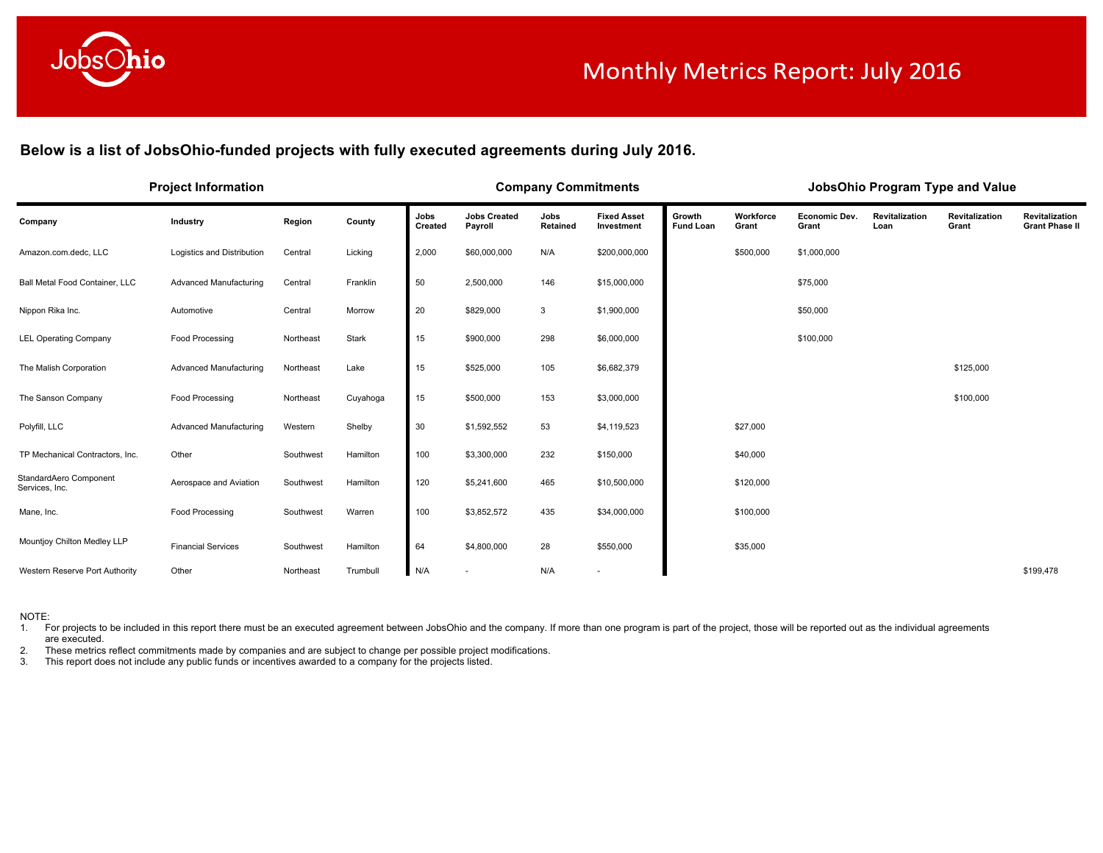

Below is a list of JobsOhio-funded projects with fully executed agreements during July 2016.

|                                          | <b>Project Information</b> |           |          |                 |                                | <b>Company Commitments</b> |                                  |                            |                    |                        |                        | JobsOhio Program Type and Value |                                         |
|------------------------------------------|----------------------------|-----------|----------|-----------------|--------------------------------|----------------------------|----------------------------------|----------------------------|--------------------|------------------------|------------------------|---------------------------------|-----------------------------------------|
| Company                                  | Industry                   | Region    | County   | Jobs<br>Created | <b>Jobs Created</b><br>Payroll | Jobs<br>Retained           | <b>Fixed Asset</b><br>Investment | Growth<br><b>Fund Loan</b> | Workforce<br>Grant | Economic Dev.<br>Grant | Revitalization<br>Loan | Revitalization<br>Grant         | Revitalization<br><b>Grant Phase II</b> |
| Amazon.com.dedc, LLC                     | Logistics and Distribution | Central   | Licking  | 2,000           | \$60,000,000                   | N/A                        | \$200,000,000                    |                            | \$500,000          | \$1,000,000            |                        |                                 |                                         |
| Ball Metal Food Container, LLC           | Advanced Manufacturing     | Central   | Franklin | 50              | 2,500,000                      | 146                        | \$15,000,000                     |                            |                    | \$75,000               |                        |                                 |                                         |
| Nippon Rika Inc.                         | Automotive                 | Central   | Morrow   | 20              | \$829,000                      | 3                          | \$1,900,000                      |                            |                    | \$50,000               |                        |                                 |                                         |
| <b>LEL Operating Company</b>             | Food Processing            | Northeast | Stark    | 15              | \$900,000                      | 298                        | \$6,000,000                      |                            |                    | \$100,000              |                        |                                 |                                         |
| The Malish Corporation                   | Advanced Manufacturing     | Northeast | Lake     | 15              | \$525,000                      | 105                        | \$6,682,379                      |                            |                    |                        |                        | \$125,000                       |                                         |
| The Sanson Company                       | Food Processing            | Northeast | Cuyahoga | 15              | \$500,000                      | 153                        | \$3,000,000                      |                            |                    |                        |                        | \$100,000                       |                                         |
| Polyfill, LLC                            | Advanced Manufacturing     | Western   | Shelby   | 30              | \$1,592,552                    | 53                         | \$4,119,523                      |                            | \$27,000           |                        |                        |                                 |                                         |
| TP Mechanical Contractors, Inc.          | Other                      | Southwest | Hamilton | 100             | \$3,300,000                    | 232                        | \$150,000                        |                            | \$40,000           |                        |                        |                                 |                                         |
| StandardAero Component<br>Services, Inc. | Aerospace and Aviation     | Southwest | Hamilton | 120             | \$5,241,600                    | 465                        | \$10,500,000                     |                            | \$120,000          |                        |                        |                                 |                                         |
| Mane, Inc.                               | Food Processing            | Southwest | Warren   | 100             | \$3,852,572                    | 435                        | \$34,000,000                     |                            | \$100,000          |                        |                        |                                 |                                         |
| Mountjoy Chilton Medley LLP              | <b>Financial Services</b>  | Southwest | Hamilton | 64              | \$4,800,000                    | 28                         | \$550,000                        |                            | \$35,000           |                        |                        |                                 |                                         |
| Western Reserve Port Authority           | Other                      | Northeast | Trumbull | N/A             |                                | N/A                        | ٠                                |                            |                    |                        |                        |                                 | \$199,478                               |

NOTE:

1. For projects to be included in this report there must be an executed agreement between JobsOhio and the company. If more than one program is part of the project, those will be reported out as the individual agreements are executed.

2. These metrics reflect commitments made by companies and are subject to change per possible project modifications.<br>3. This report does not include any public funds or incentives awarded to a company for the projects list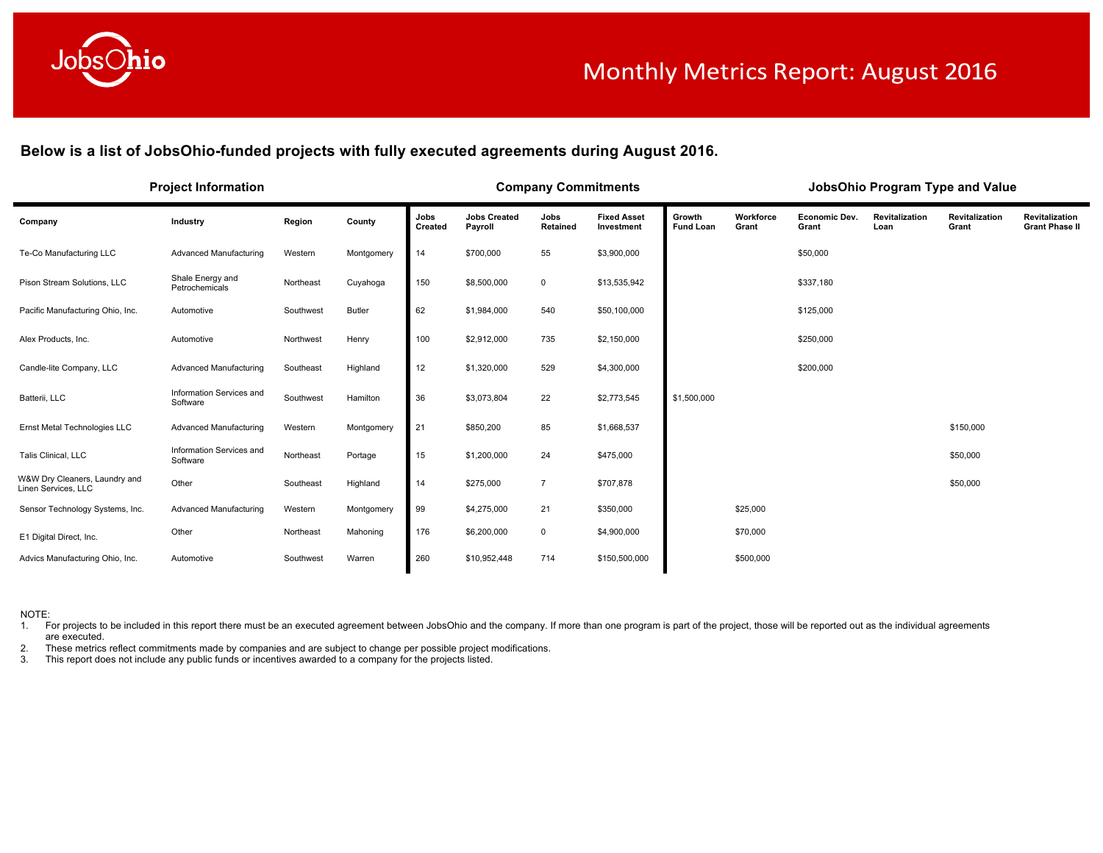

**Below is a list of JobsOhio-funded projects with fully executed agreements during August 2016.**

|                                                      | <b>Project Information</b>           |           |               |                 |                                | <b>Company Commitments</b> |                                  |                            |                    |                               |                               | JobsOhio Program Type and Value |                                         |
|------------------------------------------------------|--------------------------------------|-----------|---------------|-----------------|--------------------------------|----------------------------|----------------------------------|----------------------------|--------------------|-------------------------------|-------------------------------|---------------------------------|-----------------------------------------|
| Company                                              | Industry                             | Region    | County        | Jobs<br>Created | <b>Jobs Created</b><br>Payroll | Jobs<br>Retained           | <b>Fixed Asset</b><br>Investment | Growth<br><b>Fund Loan</b> | Workforce<br>Grant | <b>Economic Dev.</b><br>Grant | <b>Revitalization</b><br>Loan | Revitalization<br>Grant         | Revitalization<br><b>Grant Phase II</b> |
| Te-Co Manufacturing LLC                              | Advanced Manufacturing               | Western   | Montgomery    | 14              | \$700,000                      | 55                         | \$3,900,000                      |                            |                    | \$50,000                      |                               |                                 |                                         |
| Pison Stream Solutions, LLC                          | Shale Energy and<br>Petrochemicals   | Northeast | Cuyahoga      | 150             | \$8,500,000                    | $\mathbf 0$                | \$13,535,942                     |                            |                    | \$337,180                     |                               |                                 |                                         |
| Pacific Manufacturing Ohio, Inc.                     | Automotive                           | Southwest | <b>Butler</b> | 62              | \$1,984,000                    | 540                        | \$50,100,000                     |                            |                    | \$125,000                     |                               |                                 |                                         |
| Alex Products, Inc.                                  | Automotive                           | Northwest | Henry         | 100             | \$2,912,000                    | 735                        | \$2,150,000                      |                            |                    | \$250,000                     |                               |                                 |                                         |
| Candle-lite Company, LLC                             | Advanced Manufacturing               | Southeast | Highland      | 12              | \$1,320,000                    | 529                        | \$4,300,000                      |                            |                    | \$200,000                     |                               |                                 |                                         |
| Batterii, LLC                                        | Information Services and<br>Software | Southwest | Hamilton      | 36              | \$3,073,804                    | 22                         | \$2,773,545                      | \$1,500,000                |                    |                               |                               |                                 |                                         |
| Ernst Metal Technologies LLC                         | Advanced Manufacturing               | Western   | Montgomery    | 21              | \$850,200                      | 85                         | \$1,668,537                      |                            |                    |                               |                               | \$150,000                       |                                         |
| Talis Clinical, LLC                                  | Information Services and<br>Software | Northeast | Portage       | 15              | \$1,200,000                    | 24                         | \$475,000                        |                            |                    |                               |                               | \$50,000                        |                                         |
| W&W Dry Cleaners, Laundry and<br>Linen Services, LLC | Other                                | Southeast | Highland      | 14              | \$275,000                      | $\overline{7}$             | \$707,878                        |                            |                    |                               |                               | \$50,000                        |                                         |
| Sensor Technology Systems, Inc.                      | Advanced Manufacturing               | Western   | Montgomery    | 99              | \$4,275,000                    | 21                         | \$350,000                        |                            | \$25,000           |                               |                               |                                 |                                         |
| E1 Digital Direct, Inc.                              | Other                                | Northeast | Mahoning      | 176             | \$6,200,000                    | $\mathbf 0$                | \$4,900,000                      |                            | \$70,000           |                               |                               |                                 |                                         |
| Advics Manufacturing Ohio, Inc.                      | Automotive                           | Southwest | Warren        | 260             | \$10,952,448                   | 714                        | \$150,500,000                    |                            | \$500,000          |                               |                               |                                 |                                         |

NOTE:

1. For projects to be included in this report there must be an executed agreement between JobsOhio and the company. If more than one program is part of the project, those will be reported out as the individual agreements are executed.

2. These metrics reflect commitments made by companies and are subject to change per possible project modifications.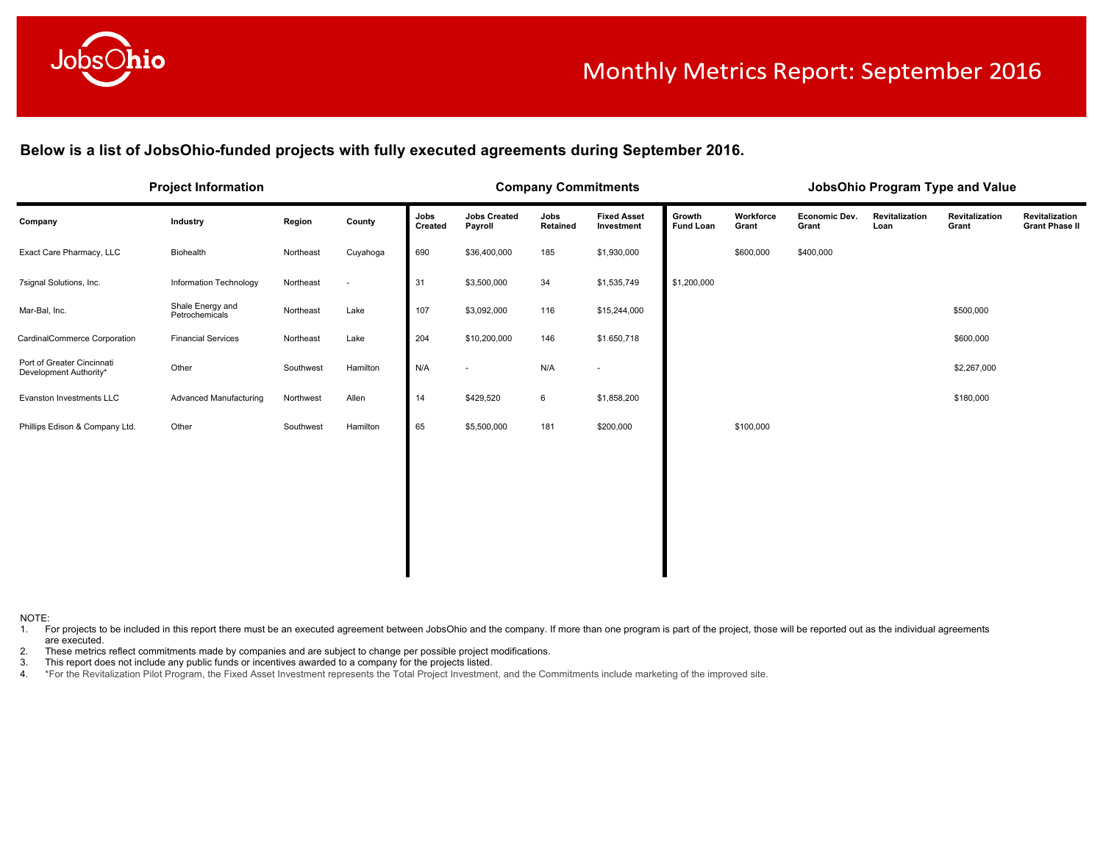

Below is a list of JobsOhio-funded projects with fully executed agreements during September 2016.

|                                                      | <b>Project Information</b>         |           |          |                 |                                | <b>Company Commitments</b> |                                  |                            |                    |                               | JobsOhio Program Type and Value |                         |                                         |
|------------------------------------------------------|------------------------------------|-----------|----------|-----------------|--------------------------------|----------------------------|----------------------------------|----------------------------|--------------------|-------------------------------|---------------------------------|-------------------------|-----------------------------------------|
| Company                                              | Industry                           | Region    | County   | Jobs<br>Created | <b>Jobs Created</b><br>Payroll | Jobs<br>Retained           | <b>Fixed Asset</b><br>Investment | Growth<br><b>Fund Loan</b> | Workforce<br>Grant | <b>Economic Dev.</b><br>Grant | Revitalization<br>Loan          | Revitalization<br>Grant | Revitalization<br><b>Grant Phase II</b> |
| Exact Care Pharmacy, LLC                             | Biohealth                          | Northeast | Cuyahoga | 690             | \$36,400,000                   | 185                        | \$1,930,000                      |                            | \$600,000          | \$400,000                     |                                 |                         |                                         |
| 7signal Solutions, Inc.                              | Information Technology             | Northeast | $\sim$   | 31              | \$3,500,000                    | 34                         | \$1,535,749                      | \$1,200,000                |                    |                               |                                 |                         |                                         |
| Mar-Bal, Inc.                                        | Shale Energy and<br>Petrochemicals | Northeast | Lake     | 107             | \$3,092,000                    | 116                        | \$15,244,000                     |                            |                    |                               |                                 | \$500,000               |                                         |
| CardinalCommerce Corporation                         | <b>Financial Services</b>          | Northeast | Lake     | 204             | \$10,200,000                   | 146                        | \$1.650,718                      |                            |                    |                               |                                 | \$600,000               |                                         |
| Port of Greater Cincinnati<br>Development Authority* | Other                              | Southwest | Hamilton | N/A             | $\overline{\phantom{a}}$       | N/A                        |                                  |                            |                    |                               |                                 | \$2,267,000             |                                         |
| Evanston Investments LLC                             | <b>Advanced Manufacturing</b>      | Northwest | Allen    | 14              | \$429,520                      | 6                          | \$1,858,200                      |                            |                    |                               |                                 | \$180,000               |                                         |
| Phillips Edison & Company Ltd.                       | Other                              | Southwest | Hamilton | 65              | \$5,500,000                    | 181                        | \$200,000                        |                            | \$100,000          |                               |                                 |                         |                                         |
|                                                      |                                    |           |          |                 |                                |                            |                                  |                            |                    |                               |                                 |                         |                                         |
|                                                      |                                    |           |          |                 |                                |                            |                                  |                            |                    |                               |                                 |                         |                                         |
|                                                      |                                    |           |          |                 |                                |                            |                                  |                            |                    |                               |                                 |                         |                                         |
|                                                      |                                    |           |          |                 |                                |                            |                                  |                            |                    |                               |                                 |                         |                                         |
|                                                      |                                    |           |          |                 |                                |                            |                                  |                            |                    |                               |                                 |                         |                                         |

NOTE:

1. For projects to be included in this report there must be an executed agreement between JobsOhio and the company. If more than one program is part of the project, those will be reported out as the individual agreements are executed.

2. These metrics reflect commitments made by companies and are subject to change per possible project modifications.

3. This report does not include any public funds or incentives awarded to a company for the projects listed.

4. \*For the Revitalization Pilot Program, the Fixed Asset Investment represents the Total Project Investment, and the Commitments include marketing of the improved site.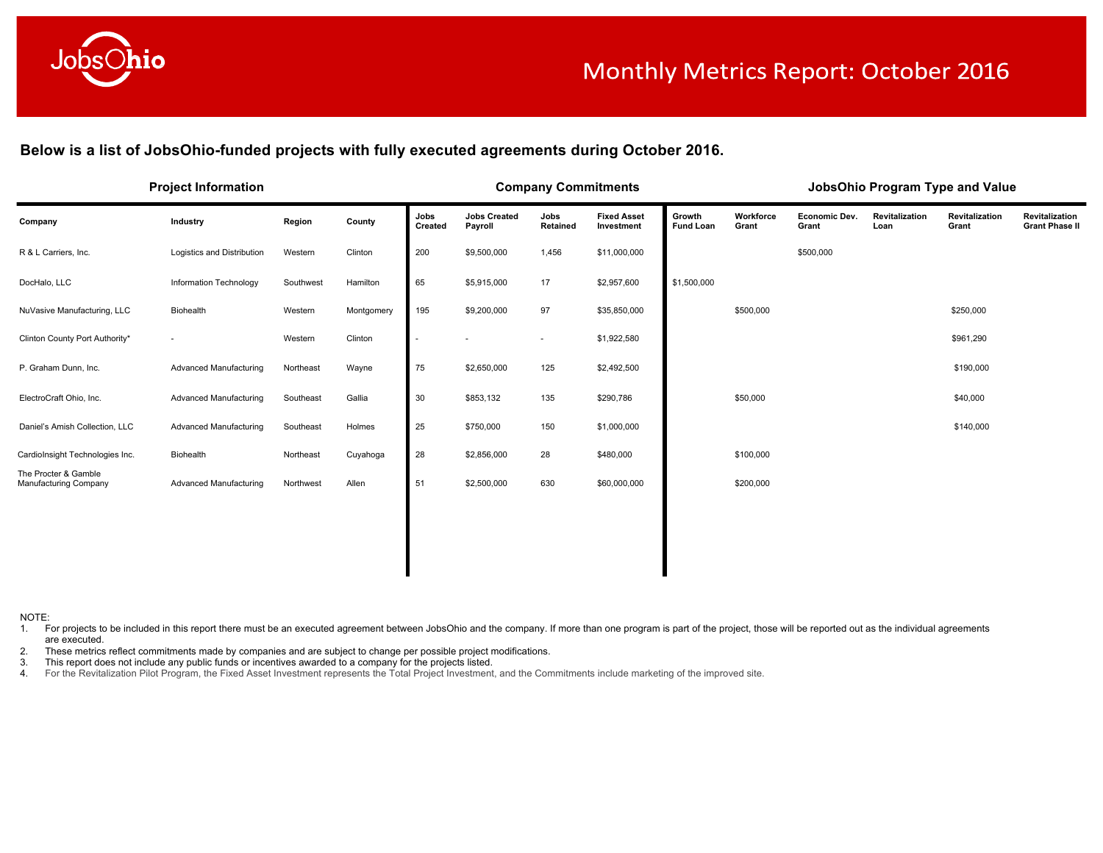

Below is a list of JobsOhio-funded projects with fully executed agreements during October 2016.

|                                               | <b>Project Information</b>    |           |            |                 | <b>Company Commitments</b>     |                  |                                  |                            |                    |                               | JobsOhio Program Type and Value |                         |                                         |
|-----------------------------------------------|-------------------------------|-----------|------------|-----------------|--------------------------------|------------------|----------------------------------|----------------------------|--------------------|-------------------------------|---------------------------------|-------------------------|-----------------------------------------|
| Company                                       | Industry                      | Region    | County     | Jobs<br>Created | <b>Jobs Created</b><br>Payroll | Jobs<br>Retained | <b>Fixed Asset</b><br>Investment | Growth<br><b>Fund Loan</b> | Workforce<br>Grant | <b>Economic Dev.</b><br>Grant | Revitalization<br>Loan          | Revitalization<br>Grant | Revitalization<br><b>Grant Phase II</b> |
| R & L Carriers, Inc.                          | Logistics and Distribution    | Western   | Clinton    | 200             | \$9,500,000                    | 1,456            | \$11,000,000                     |                            |                    | \$500,000                     |                                 |                         |                                         |
| DocHalo, LLC                                  | Information Technology        | Southwest | Hamilton   | 65              | \$5,915,000                    | 17               | \$2,957,600                      | \$1,500,000                |                    |                               |                                 |                         |                                         |
| NuVasive Manufacturing, LLC                   | Biohealth                     | Western   | Montgomery | 195             | \$9,200,000                    | 97               | \$35,850,000                     |                            | \$500,000          |                               |                                 | \$250,000               |                                         |
| Clinton County Port Authority*                | $\sim$                        | Western   | Clinton    |                 |                                | $\sim$           | \$1,922,580                      |                            |                    |                               |                                 | \$961,290               |                                         |
| P. Graham Dunn, Inc.                          | Advanced Manufacturing        | Northeast | Wayne      | 75              | \$2,650,000                    | 125              | \$2,492,500                      |                            |                    |                               |                                 | \$190,000               |                                         |
| ElectroCraft Ohio, Inc.                       | Advanced Manufacturing        | Southeast | Gallia     | 30              | \$853,132                      | 135              | \$290,786                        |                            | \$50,000           |                               |                                 | \$40,000                |                                         |
| Daniel's Amish Collection, LLC                | Advanced Manufacturing        | Southeast | Holmes     | 25              | \$750,000                      | 150              | \$1,000,000                      |                            |                    |                               |                                 | \$140,000               |                                         |
| CardioInsight Technologies Inc.               | Biohealth                     | Northeast | Cuyahoga   | 28              | \$2,856,000                    | 28               | \$480,000                        |                            | \$100,000          |                               |                                 |                         |                                         |
| The Procter & Gamble<br>Manufacturing Company | <b>Advanced Manufacturing</b> | Northwest | Allen      | 51              | \$2,500,000                    | 630              | \$60,000,000                     |                            | \$200,000          |                               |                                 |                         |                                         |
|                                               |                               |           |            |                 |                                |                  |                                  |                            |                    |                               |                                 |                         |                                         |
|                                               |                               |           |            |                 |                                |                  |                                  |                            |                    |                               |                                 |                         |                                         |
|                                               |                               |           |            |                 |                                |                  |                                  |                            |                    |                               |                                 |                         |                                         |

NOTE:

1. For projects to be included in this report there must be an executed agreement between JobsOhio and the company. If more than one program is part of the project, those will be reported out as the individual agreements are executed.

2. These metrics reflect commitments made by companies and are subject to change per possible project modifications.

3. This report does not include any public funds or incentives awarded to a company for the projects listed.

4. For the Revitalization Pilot Program, the Fixed Asset Investment represents the Total Project Investment, and the Commitments include marketing of the improved site.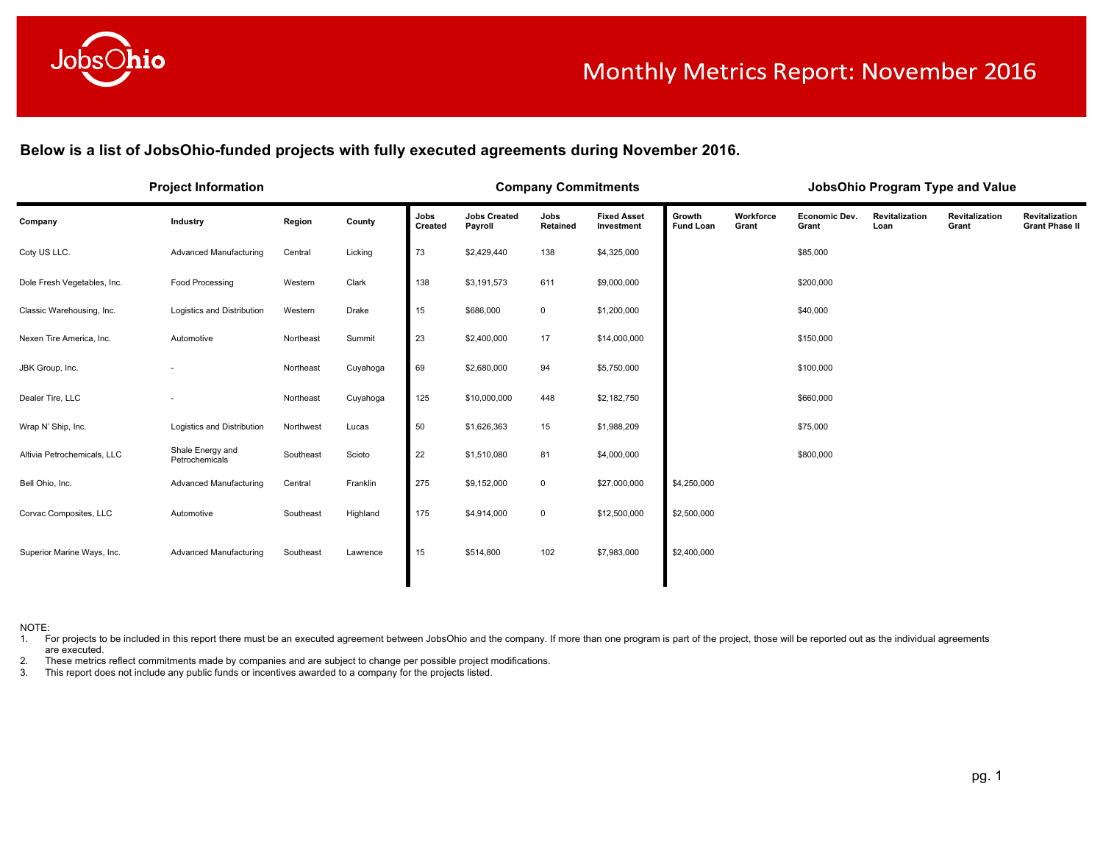

Below is a list of JobsOhio-funded projects with fully executed agreements during November 2016.

| <b>Project Information</b>         |           |          |                 |                                |                  |                                  |                            |                    |                        |                        |                         |                                         |
|------------------------------------|-----------|----------|-----------------|--------------------------------|------------------|----------------------------------|----------------------------|--------------------|------------------------|------------------------|-------------------------|-----------------------------------------|
| Industry                           | Region    | County   | Jobs<br>Created | <b>Jobs Created</b><br>Payroll | Jobs<br>Retained | <b>Fixed Asset</b><br>Investment | Growth<br><b>Fund Loan</b> | Workforce<br>Grant | Economic Dev.<br>Grant | Revitalization<br>Loan | Revitalization<br>Grant | Revitalization<br><b>Grant Phase II</b> |
| Advanced Manufacturing             | Central   | Licking  | 73              | \$2,429,440                    | 138              | \$4,325,000                      |                            |                    | \$85,000               |                        |                         |                                         |
| Food Processing                    | Western   | Clark    | 138             | \$3,191,573                    | 611              | \$9,000,000                      |                            |                    | \$200,000              |                        |                         |                                         |
| Logistics and Distribution         | Western   | Drake    | 15              | \$686,000                      | $\mathbf 0$      | \$1,200,000                      |                            |                    | \$40,000               |                        |                         |                                         |
| Automotive                         | Northeast | Summit   | 23              | \$2,400,000                    | 17               | \$14,000,000                     |                            |                    | \$150,000              |                        |                         |                                         |
|                                    | Northeast | Cuyahoga | 69              | \$2,680,000                    | 94               | \$5,750,000                      |                            |                    | \$100,000              |                        |                         |                                         |
|                                    | Northeast | Cuyahoga | 125             | \$10,000,000                   | 448              | \$2,182,750                      |                            |                    | \$660,000              |                        |                         |                                         |
| Logistics and Distribution         | Northwest | Lucas    | 50              | \$1,626,363                    | 15               | \$1,988,209                      |                            |                    | \$75,000               |                        |                         |                                         |
| Shale Energy and<br>Petrochemicals | Southeast | Scioto   | 22              | \$1,510,080                    | 81               | \$4,000,000                      |                            |                    | \$800,000              |                        |                         |                                         |
| Advanced Manufacturing             | Central   | Franklin | 275             | \$9,152,000                    | 0                | \$27,000,000                     | \$4,250,000                |                    |                        |                        |                         |                                         |
| Automotive                         | Southeast | Highland | 175             | \$4,914,000                    | 0                | \$12,500,000                     | \$2,500,000                |                    |                        |                        |                         |                                         |
| Advanced Manufacturing             | Southeast | Lawrence | 15              | \$514,800                      | 102              | \$7,983,000                      | \$2,400,000                |                    |                        |                        |                         |                                         |
|                                    |           |          |                 |                                |                  |                                  | <b>Company Commitments</b> |                    |                        |                        |                         | JobsOhio Program Type and Value         |

NOTE:

1. For projects to be included in this report there must be an executed agreement between JobsOhio and the company. If more than one program is part of the project, those will be reported out as the individual agreements are executed.

2. These metrics reflect commitments made by companies and are subject to change per possible project modifications.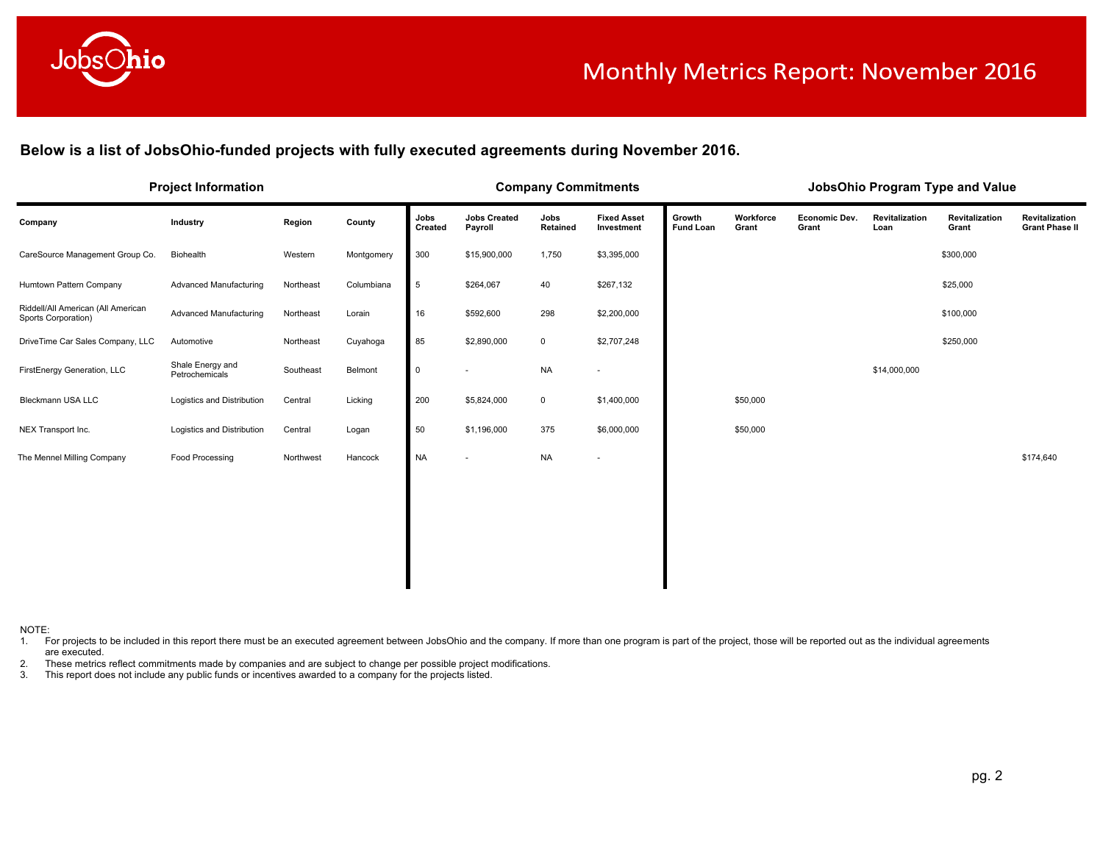

# Monthly Metrics Report: November 2016

**Below is a list of JobsOhio-funded projects with fully executed agreements during November 2016.** 

|                                                           | <b>Project Information</b>         |           |            |                 |                                | <b>Company Commitments</b> |                                  |                            |                    |                               |                        | JobsOhio Program Type and Value |                                         |
|-----------------------------------------------------------|------------------------------------|-----------|------------|-----------------|--------------------------------|----------------------------|----------------------------------|----------------------------|--------------------|-------------------------------|------------------------|---------------------------------|-----------------------------------------|
| Company                                                   | Industry                           | Region    | County     | Jobs<br>Created | <b>Jobs Created</b><br>Payroll | Jobs<br>Retained           | <b>Fixed Asset</b><br>Investment | Growth<br><b>Fund Loan</b> | Workforce<br>Grant | <b>Economic Dev.</b><br>Grant | Revitalization<br>Loan | Revitalization<br>Grant         | Revitalization<br><b>Grant Phase II</b> |
| CareSource Management Group Co.                           | Biohealth                          | Western   | Montgomery | 300             | \$15,900,000                   | 1,750                      | \$3,395,000                      |                            |                    |                               |                        | \$300,000                       |                                         |
| Humtown Pattern Company                                   | Advanced Manufacturing             | Northeast | Columbiana | $\sqrt{5}$      | \$264,067                      | 40                         | \$267,132                        |                            |                    |                               |                        | \$25,000                        |                                         |
| Riddell/All American (All American<br>Sports Corporation) | <b>Advanced Manufacturing</b>      | Northeast | Lorain     | 16              | \$592,600                      | 298                        | \$2,200,000                      |                            |                    |                               |                        | \$100,000                       |                                         |
| DriveTime Car Sales Company, LLC                          | Automotive                         | Northeast | Cuyahoga   | 85              | \$2,890,000                    | $\mathbf 0$                | \$2,707,248                      |                            |                    |                               |                        | \$250,000                       |                                         |
| FirstEnergy Generation, LLC                               | Shale Energy and<br>Petrochemicals | Southeast | Belmont    | $\mathsf{O}$    |                                | <b>NA</b>                  |                                  |                            |                    |                               | \$14,000,000           |                                 |                                         |
| Bleckmann USA LLC                                         | Logistics and Distribution         | Central   | Licking    | 200             | \$5,824,000                    | $\mathsf{O}$               | \$1,400,000                      |                            | \$50,000           |                               |                        |                                 |                                         |
| NEX Transport Inc.                                        | Logistics and Distribution         | Central   | Logan      | 50              | \$1,196,000                    | 375                        | \$6,000,000                      |                            | \$50,000           |                               |                        |                                 |                                         |
| The Mennel Milling Company                                | Food Processing                    | Northwest | Hancock    | <b>NA</b>       |                                | <b>NA</b>                  |                                  |                            |                    |                               |                        |                                 | \$174,640                               |
|                                                           |                                    |           |            |                 |                                |                            |                                  |                            |                    |                               |                        |                                 |                                         |
|                                                           |                                    |           |            |                 |                                |                            |                                  |                            |                    |                               |                        |                                 |                                         |
|                                                           |                                    |           |            |                 |                                |                            |                                  |                            |                    |                               |                        |                                 |                                         |
|                                                           |                                    |           |            |                 |                                |                            |                                  |                            |                    |                               |                        |                                 |                                         |
|                                                           |                                    |           |            |                 |                                |                            |                                  |                            |                    |                               |                        |                                 |                                         |

NOTE:

1. For projects to be included in this report there must be an executed agreement between JobsOhio and the company. If more than one program is part of the project, those will be reported out as the individual agreements are executed.

2. These metrics reflect commitments made by companies and are subject to change per possible project modifications.<br>3. This report does not include any public funds or incentives awarded to a company for the projects list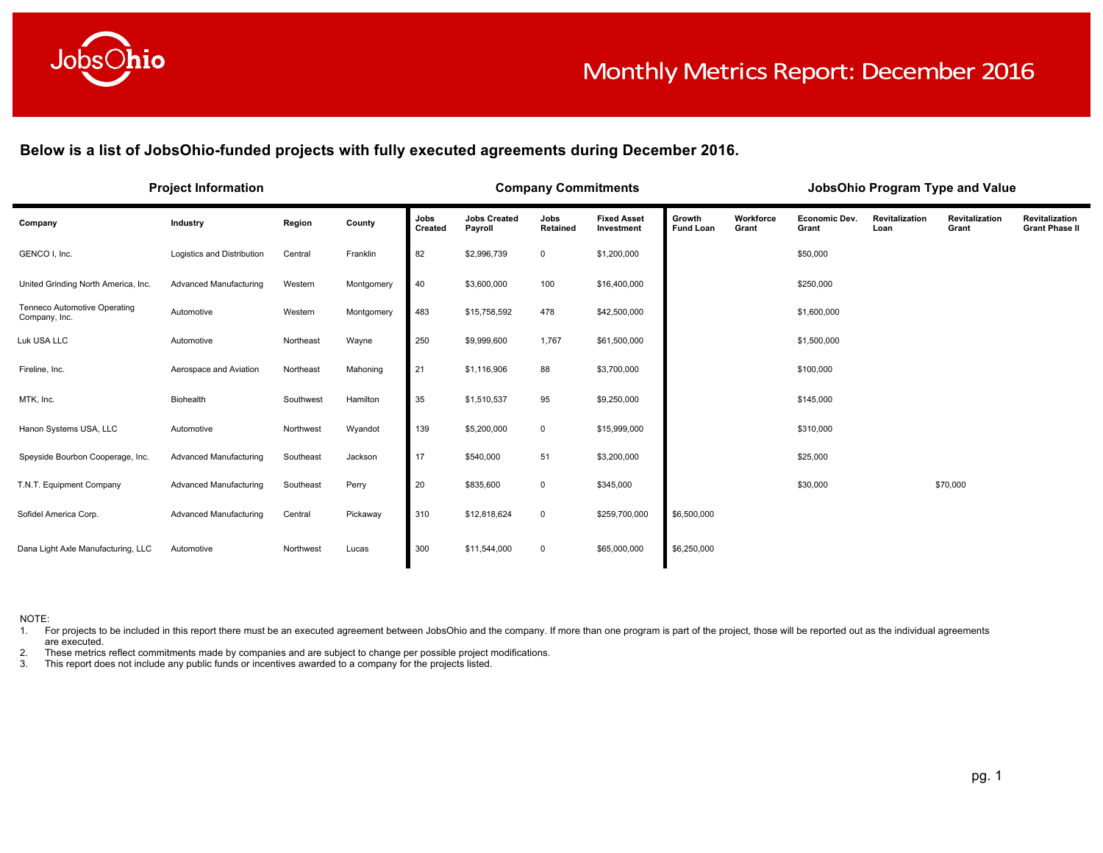

**Below is a list of JobsOhio-funded projects with fully executed agreements during December 2016.**

| <b>Project Information</b>                    |                            |           |            |                 |                                | <b>Company Commitments</b> |                                  | JobsOhio Program Type and Value |                    |                               |                        |                         |                                         |  |
|-----------------------------------------------|----------------------------|-----------|------------|-----------------|--------------------------------|----------------------------|----------------------------------|---------------------------------|--------------------|-------------------------------|------------------------|-------------------------|-----------------------------------------|--|
| Company                                       | Industry                   | Region    | County     | Jobs<br>Created | <b>Jobs Created</b><br>Payroll | Jobs<br>Retained           | <b>Fixed Asset</b><br>Investment | Growth<br><b>Fund Loan</b>      | Workforce<br>Grant | <b>Economic Dev.</b><br>Grant | Revitalization<br>Loan | Revitalization<br>Grant | Revitalization<br><b>Grant Phase II</b> |  |
| GENCO I, Inc.                                 | Logistics and Distribution | Central   | Franklin   | 82              | \$2,996,739                    | $\mathbf 0$                | \$1,200,000                      |                                 |                    | \$50,000                      |                        |                         |                                         |  |
| United Grinding North America, Inc.           | Advanced Manufacturing     | Western   | Montgomery | 40              | \$3,600,000                    | 100                        | \$16,400,000                     |                                 |                    | \$250,000                     |                        |                         |                                         |  |
| Tenneco Automotive Operating<br>Company, Inc. | Automotive                 | Western   | Montgomery | 483             | \$15,758,592                   | 478                        | \$42,500,000                     |                                 |                    | \$1,600,000                   |                        |                         |                                         |  |
| Luk USA LLC                                   | Automotive                 | Northeast | Wayne      | 250             | \$9,999,600                    | 1,767                      | \$61,500,000                     |                                 |                    | \$1,500,000                   |                        |                         |                                         |  |
| Fireline, Inc.                                | Aerospace and Aviation     | Northeast | Mahoning   | 21              | \$1,116,906                    | 88                         | \$3,700,000                      |                                 |                    | \$100,000                     |                        |                         |                                         |  |
| MTK, Inc.                                     | Biohealth                  | Southwest | Hamilton   | 35              | \$1,510,537                    | 95                         | \$9,250,000                      |                                 |                    | \$145,000                     |                        |                         |                                         |  |
| Hanon Systems USA, LLC                        | Automotive                 | Northwest | Wyandot    | 139             | \$5,200,000                    | $\mathbf 0$                | \$15,999,000                     |                                 |                    | \$310,000                     |                        |                         |                                         |  |
| Speyside Bourbon Cooperage, Inc.              | Advanced Manufacturing     | Southeast | Jackson    | 17              | \$540,000                      | 51                         | \$3,200,000                      |                                 |                    | \$25,000                      |                        |                         |                                         |  |
| T.N.T. Equipment Company                      | Advanced Manufacturing     | Southeast | Perry      | 20              | \$835,600                      | $\mathbf 0$                | \$345,000                        |                                 |                    | \$30,000                      |                        | \$70,000                |                                         |  |
| Sofidel America Corp.                         | Advanced Manufacturing     | Central   | Pickaway   | 310             | \$12,818,624                   | $\mathbf 0$                | \$259,700,000                    | \$6,500,000                     |                    |                               |                        |                         |                                         |  |
| Dana Light Axle Manufacturing, LLC            | Automotive                 | Northwest | Lucas      | 300             | \$11,544,000                   | $\mathbf 0$                | \$65,000,000                     | \$6,250,000                     |                    |                               |                        |                         |                                         |  |

NOTE:

1. For projects to be included in this report there must be an executed agreement between JobsOhio and the company. If more than one program is part of the project, those will be reported out as the individual agreements are executed.

2. These metrics reflect commitments made by companies and are subject to change per possible project modifications.